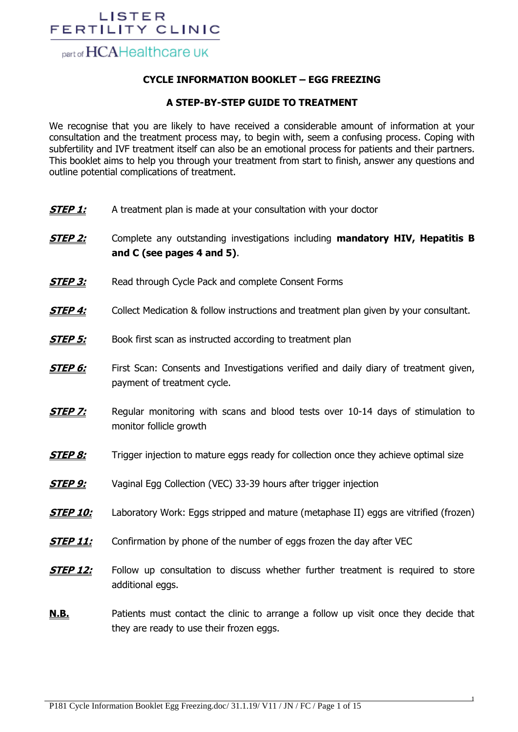part of HCAHealthcare UK

## **CYCLE INFORMATION BOOKLET – EGG FREEZING**

### **A STEP-BY-STEP GUIDE TO TREATMENT**

We recognise that you are likely to have received a considerable amount of information at your consultation and the treatment process may, to begin with, seem a confusing process. Coping with subfertility and IVF treatment itself can also be an emotional process for patients and their partners. This booklet aims to help you through your treatment from start to finish, answer any questions and outline potential complications of treatment.

| <u>STEP 1:</u>  | A treatment plan is made at your consultation with your doctor                                                                  |
|-----------------|---------------------------------------------------------------------------------------------------------------------------------|
| <u>STEP 2:</u>  | Complete any outstanding investigations including mandatory HIV, Hepatitis B<br>and C (see pages 4 and 5).                      |
| <b>STEP 3:</b>  | Read through Cycle Pack and complete Consent Forms                                                                              |
| <u>STEP 4:</u>  | Collect Medication & follow instructions and treatment plan given by your consultant.                                           |
| <u>STEP 5:</u>  | Book first scan as instructed according to treatment plan                                                                       |
| <u>STEP 6:</u>  | First Scan: Consents and Investigations verified and daily diary of treatment given,<br>payment of treatment cycle.             |
| <u>STEP 7:</u>  | Regular monitoring with scans and blood tests over 10-14 days of stimulation to<br>monitor follicle growth                      |
| <u>STEP 8:</u>  | Trigger injection to mature eggs ready for collection once they achieve optimal size                                            |
| <u>STEP 9:</u>  | Vaginal Egg Collection (VEC) 33-39 hours after trigger injection                                                                |
| <u>STEP 10:</u> | Laboratory Work: Eggs stripped and mature (metaphase II) eggs are vitrified (frozen)                                            |
| <u>STEP 11:</u> | Confirmation by phone of the number of eggs frozen the day after VEC                                                            |
| <u>STEP 12:</u> | Follow up consultation to discuss whether further treatment is required to store<br>additional eggs.                            |
| <u>N.B.</u>     | Patients must contact the clinic to arrange a follow up visit once they decide that<br>they are ready to use their frozen eggs. |

1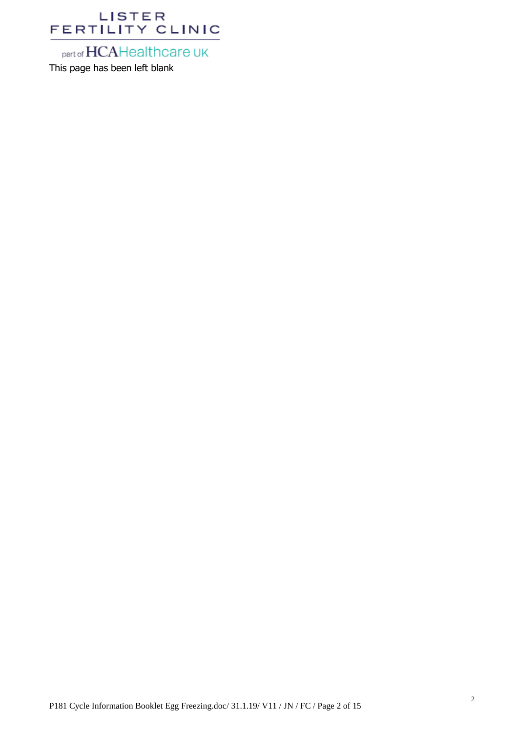# part of HCAHealthcare UK

This page has been left blank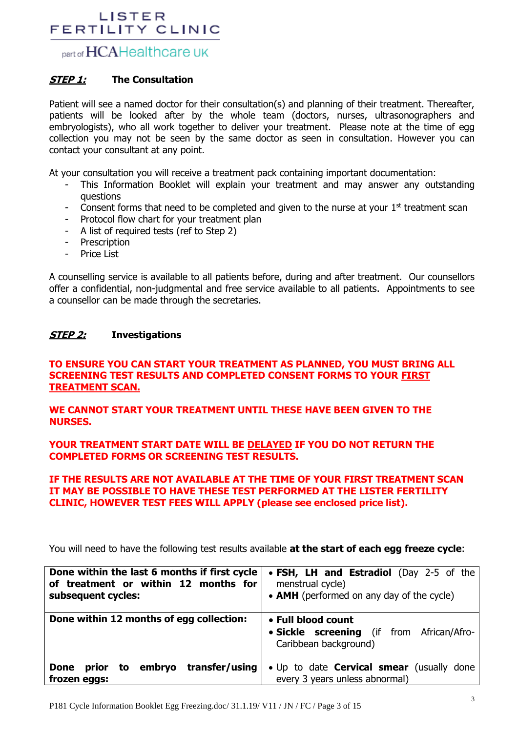# part of HCAHealthcare UK

## **STEP 1: The Consultation**

Patient will see a named doctor for their consultation(s) and planning of their treatment. Thereafter, patients will be looked after by the whole team (doctors, nurses, ultrasonographers and embryologists), who all work together to deliver your treatment. Please note at the time of egg collection you may not be seen by the same doctor as seen in consultation. However you can contact your consultant at any point.

At your consultation you will receive a treatment pack containing important documentation:

- This Information Booklet will explain your treatment and may answer any outstanding questions
- Consent forms that need to be completed and given to the nurse at your  $1<sup>st</sup>$  treatment scan
- Protocol flow chart for your treatment plan
- A list of required tests (ref to Step 2)
- Prescription
- Price List

A counselling service is available to all patients before, during and after treatment. Our counsellors offer a confidential, non-judgmental and free service available to all patients. Appointments to see a counsellor can be made through the secretaries.

## **STEP 2: Investigations**

### **TO ENSURE YOU CAN START YOUR TREATMENT AS PLANNED, YOU MUST BRING ALL SCREENING TEST RESULTS AND COMPLETED CONSENT FORMS TO YOUR FIRST TREATMENT SCAN.**

### **WE CANNOT START YOUR TREATMENT UNTIL THESE HAVE BEEN GIVEN TO THE NURSES.**

**YOUR TREATMENT START DATE WILL BE DELAYED IF YOU DO NOT RETURN THE COMPLETED FORMS OR SCREENING TEST RESULTS.**

#### **IF THE RESULTS ARE NOT AVAILABLE AT THE TIME OF YOUR FIRST TREATMENT SCAN IT MAY BE POSSIBLE TO HAVE THESE TEST PERFORMED AT THE LISTER FERTILITY CLINIC, HOWEVER TEST FEES WILL APPLY (please see enclosed price list).**

You will need to have the following test results available **at the start of each egg freeze cycle**:

| Done within the last 6 months if first cycle<br>of treatment or within 12 months for<br>subsequent cycles: | • FSH, LH and Estradiol (Day 2-5 of the<br>menstrual cycle)<br>• AMH (performed on any day of the cycle) |  |
|------------------------------------------------------------------------------------------------------------|----------------------------------------------------------------------------------------------------------|--|
| Done within 12 months of egg collection:                                                                   | • Full blood count<br>• Sickle screening (if from African/Afro-<br>Caribbean background)                 |  |
| transfer/using<br><b>Done</b><br>embryo<br>to<br>prior<br>frozen eggs:                                     | . Up to date <b>Cervical smear</b> (usually done<br>every 3 years unless abnormal)                       |  |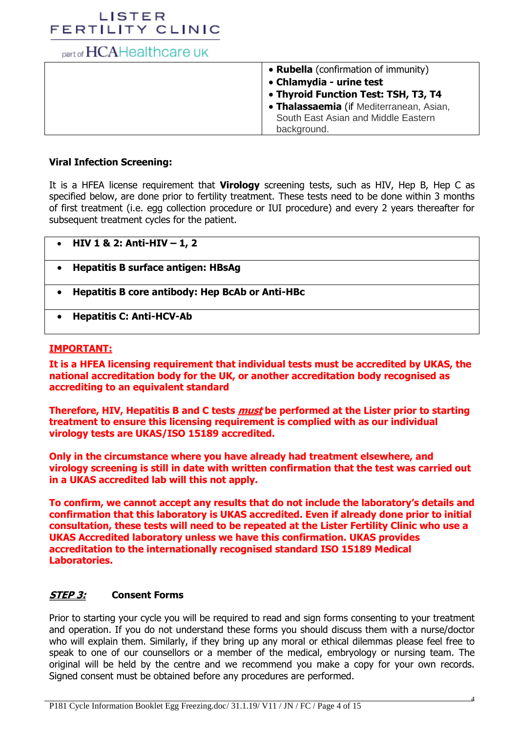part of HCAHealthcare UK

| • Rubella (confirmation of immunity)            |
|-------------------------------------------------|
| • Chlamydia - urine test                        |
| • Thyroid Function Test: TSH, T3, T4            |
| <b>• Thalassaemia</b> (if Mediterranean, Asian, |
| South East Asian and Middle Eastern             |
| background.                                     |

## **Viral Infection Screening:**

It is a HFEA license requirement that **Virology** screening tests, such as HIV, Hep B, Hep C as specified below, are done prior to fertility treatment. These tests need to be done within 3 months of first treatment (i.e. egg collection procedure or IUI procedure) and every 2 years thereafter for subsequent treatment cycles for the patient.

- **HIV 1 & 2: Anti-HIV – 1, 2**
- **Hepatitis B surface antigen: HBsAg**
- **Hepatitis B core antibody: Hep BcAb or Anti-HBc**
- **Hepatitis C: Anti-HCV-Ab**

### **IMPORTANT:**

**It is a HFEA licensing requirement that individual tests must be accredited by UKAS, the national accreditation body for the UK, or another accreditation body recognised as accrediting to an equivalent standard**

**Therefore, HIV, Hepatitis B and C tests must be performed at the Lister prior to starting treatment to ensure this licensing requirement is complied with as our individual virology tests are UKAS/ISO 15189 accredited.**

**Only in the circumstance where you have already had treatment elsewhere, and virology screening is still in date with written confirmation that the test was carried out in a UKAS accredited lab will this not apply.**

**To confirm, we cannot accept any results that do not include the laboratory's details and confirmation that this laboratory is UKAS accredited. Even if already done prior to initial consultation, these tests will need to be repeated at the Lister Fertility Clinic who use a UKAS Accredited laboratory unless we have this confirmation. UKAS provides accreditation to the internationally recognised standard ISO 15189 Medical Laboratories.**

## **STEP 3: Consent Forms**

Prior to starting your cycle you will be required to read and sign forms consenting to your treatment and operation. If you do not understand these forms you should discuss them with a nurse/doctor who will explain them. Similarly, if they bring up any moral or ethical dilemmas please feel free to speak to one of our counsellors or a member of the medical, embryology or nursing team. The original will be held by the centre and we recommend you make a copy for your own records. Signed consent must be obtained before any procedures are performed.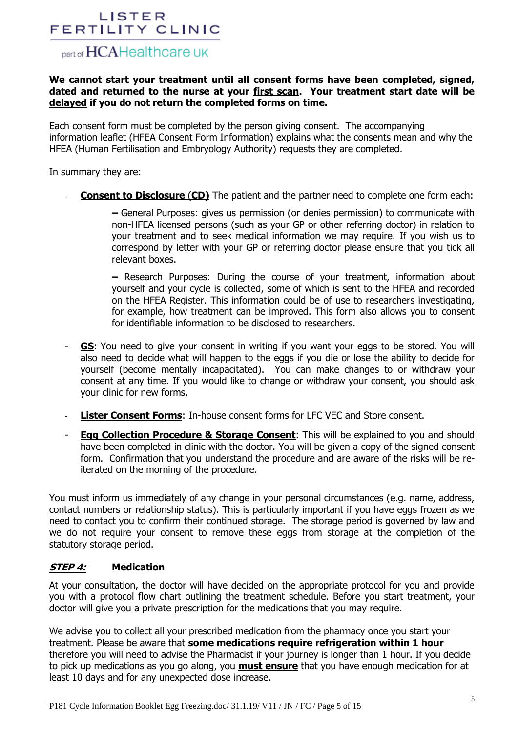# part of HCAHealthcare UK

#### **We cannot start your treatment until all consent forms have been completed, signed, dated and returned to the nurse at your first scan. Your treatment start date will be delayed if you do not return the completed forms on time.**

Each consent form must be completed by the person giving consent. The accompanying information leaflet (HFEA Consent Form Information) explains what the consents mean and why the HFEA (Human Fertilisation and Embryology Authority) requests they are completed.

In summary they are:

**Consent to Disclosure (CD)** The patient and the partner need to complete one form each:

**–** General Purposes: gives us permission (or denies permission) to communicate with non-HFEA licensed persons (such as your GP or other referring doctor) in relation to your treatment and to seek medical information we may require. If you wish us to correspond by letter with your GP or referring doctor please ensure that you tick all relevant boxes.

**–** Research Purposes: During the course of your treatment, information about yourself and your cycle is collected, some of which is sent to the HFEA and recorded on the HFEA Register. This information could be of use to researchers investigating, for example, how treatment can be improved. This form also allows you to consent for identifiable information to be disclosed to researchers.

- **GS**: You need to give your consent in writing if you want your eggs to be stored. You will also need to decide what will happen to the eggs if you die or lose the ability to decide for yourself (become mentally incapacitated). You can make changes to or withdraw your consent at any time. If you would like to change or withdraw your consent, you should ask your clinic for new forms.
- **Lister Consent Forms**: In-house consent forms for LFC VEC and Store consent.
- **Egg Collection Procedure & Storage Consent:** This will be explained to you and should have been completed in clinic with the doctor. You will be given a copy of the signed consent form. Confirmation that you understand the procedure and are aware of the risks will be reiterated on the morning of the procedure.

You must inform us immediately of any change in your personal circumstances (e.g. name, address, contact numbers or relationship status). This is particularly important if you have eggs frozen as we need to contact you to confirm their continued storage. The storage period is governed by law and we do not require your consent to remove these eggs from storage at the completion of the statutory storage period.

## **STEP 4: Medication**

At your consultation, the doctor will have decided on the appropriate protocol for you and provide you with a protocol flow chart outlining the treatment schedule. Before you start treatment, your doctor will give you a private prescription for the medications that you may require.

We advise you to collect all your prescribed medication from the pharmacy once you start your treatment. Please be aware that **some medications require refrigeration within 1 hour** therefore you will need to advise the Pharmacist if your journey is longer than 1 hour. If you decide to pick up medications as you go along, you **must ensure** that you have enough medication for at least 10 days and for any unexpected dose increase.

5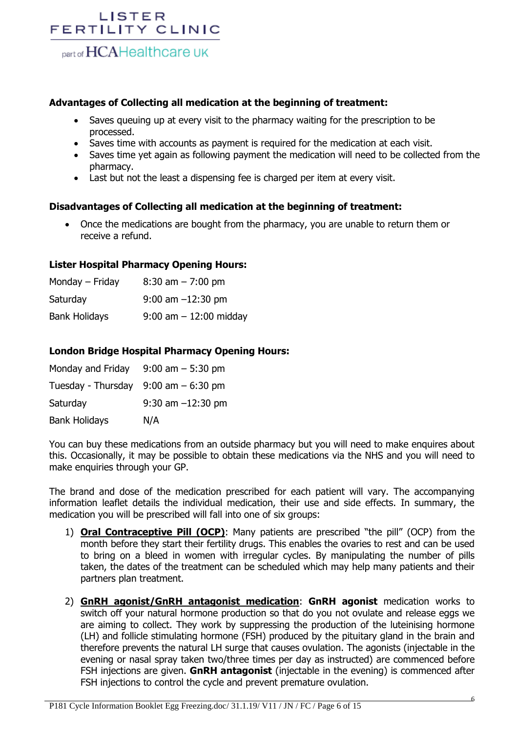part of HCAHealthcare UK

### **Advantages of Collecting all medication at the beginning of treatment:**

- Saves queuing up at every visit to the pharmacy waiting for the prescription to be processed.
- Saves time with accounts as payment is required for the medication at each visit.
- Saves time yet again as following payment the medication will need to be collected from the pharmacy.
- Last but not the least a dispensing fee is charged per item at every visit.

## **Disadvantages of Collecting all medication at the beginning of treatment:**

 Once the medications are bought from the pharmacy, you are unable to return them or receive a refund.

#### **Lister Hospital Pharmacy Opening Hours:**

| Monday - Friday      | $8:30$ am $- 7:00$ pm     |
|----------------------|---------------------------|
| Saturday             | $9:00$ am $-12:30$ pm     |
| <b>Bank Holidays</b> | $9:00$ am $-12:00$ midday |

### **London Bridge Hospital Pharmacy Opening Hours:**

| Monday and Friday                       | $9:00$ am $-5:30$ pm  |  |  |
|-----------------------------------------|-----------------------|--|--|
| Tuesday - Thursday $9:00$ am $-6:30$ pm |                       |  |  |
| Saturday                                | $9:30$ am $-12:30$ pm |  |  |
| <b>Bank Holidays</b>                    | N/A                   |  |  |

You can buy these medications from an outside pharmacy but you will need to make enquires about this. Occasionally, it may be possible to obtain these medications via the NHS and you will need to make enquiries through your GP.

The brand and dose of the medication prescribed for each patient will vary. The accompanying information leaflet details the individual medication, their use and side effects. In summary, the medication you will be prescribed will fall into one of six groups:

- 1) **Oral Contraceptive Pill (OCP)**: Many patients are prescribed "the pill" (OCP) from the month before they start their fertility drugs. This enables the ovaries to rest and can be used to bring on a bleed in women with irregular cycles. By manipulating the number of pills taken, the dates of the treatment can be scheduled which may help many patients and their partners plan treatment.
- 2) **GnRH agonist/GnRH antagonist medication**: **GnRH agonist** medication works to switch off your natural hormone production so that do you not ovulate and release eggs we are aiming to collect. They work by suppressing the production of the luteinising hormone (LH) and follicle stimulating hormone (FSH) produced by the pituitary gland in the brain and therefore prevents the natural LH surge that causes ovulation. The agonists (injectable in the evening or nasal spray taken two/three times per day as instructed) are commenced before FSH injections are given. **GnRH antagonist** (injectable in the evening) is commenced after FSH injections to control the cycle and prevent premature ovulation.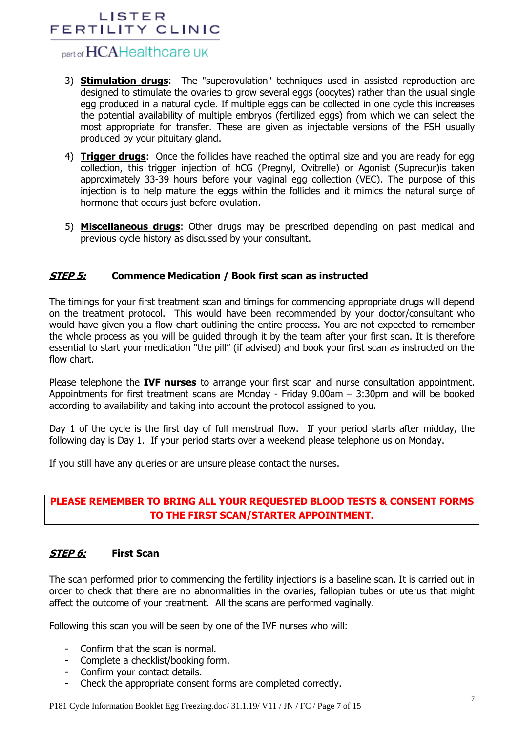## part of HCAHealthcare UK

- 3) **Stimulation drugs**: The "superovulation" techniques used in assisted reproduction are designed to stimulate the ovaries to grow several eggs (oocytes) rather than the usual single egg produced in a natural cycle. If multiple eggs can be collected in one cycle this increases the potential availability of multiple embryos (fertilized eggs) from which we can select the most appropriate for transfer. These are given as injectable versions of the FSH usually produced by your pituitary gland.
- 4) **Trigger drugs**: Once the follicles have reached the optimal size and you are ready for egg collection, this trigger injection of hCG (Pregnyl, Ovitrelle) or Agonist (Suprecur)is taken approximately 33-39 hours before your vaginal egg collection (VEC). The purpose of this injection is to help mature the eggs within the follicles and it mimics the natural surge of hormone that occurs just before ovulation.
- 5) **Miscellaneous drugs**: Other drugs may be prescribed depending on past medical and previous cycle history as discussed by your consultant.

## **STEP 5: Commence Medication / Book first scan as instructed**

The timings for your first treatment scan and timings for commencing appropriate drugs will depend on the treatment protocol. This would have been recommended by your doctor/consultant who would have given you a flow chart outlining the entire process. You are not expected to remember the whole process as you will be guided through it by the team after your first scan. It is therefore essential to start your medication "the pill" (if advised) and book your first scan as instructed on the flow chart.

Please telephone the **IVF nurses** to arrange your first scan and nurse consultation appointment. Appointments for first treatment scans are Monday - Friday 9.00am – 3:30pm and will be booked according to availability and taking into account the protocol assigned to you.

Day 1 of the cycle is the first day of full menstrual flow. If your period starts after midday, the following day is Day 1. If your period starts over a weekend please telephone us on Monday.

If you still have any queries or are unsure please contact the nurses.

## **PLEASE REMEMBER TO BRING ALL YOUR REQUESTED BLOOD TESTS & CONSENT FORMS TO THE FIRST SCAN/STARTER APPOINTMENT.**

## **STEP 6: First Scan**

The scan performed prior to commencing the fertility injections is a baseline scan. It is carried out in order to check that there are no abnormalities in the ovaries, fallopian tubes or uterus that might affect the outcome of your treatment. All the scans are performed vaginally.

Following this scan you will be seen by one of the IVF nurses who will:

- Confirm that the scan is normal.
- Complete a checklist/booking form.
- Confirm your contact details.
- Check the appropriate consent forms are completed correctly.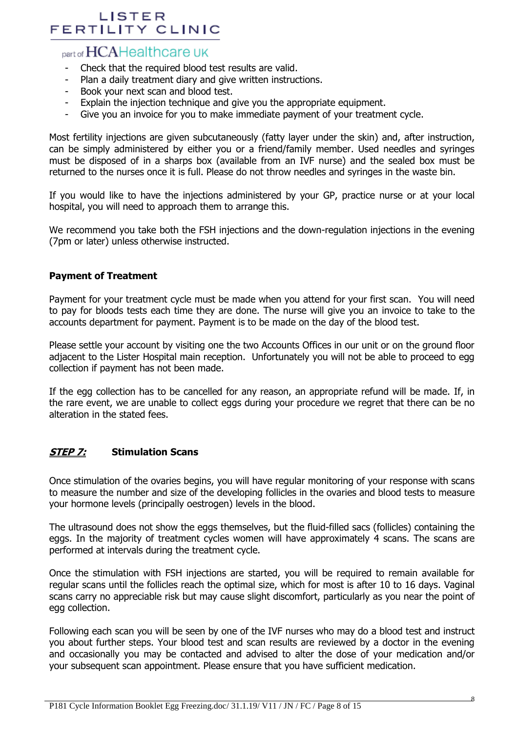# part of HCAHealthcare UK

- Check that the required blood test results are valid.
- Plan a daily treatment diary and give written instructions.
- Book your next scan and blood test.
- Explain the injection technique and give you the appropriate equipment.
- Give you an invoice for you to make immediate payment of your treatment cycle.

Most fertility injections are given subcutaneously (fatty layer under the skin) and, after instruction, can be simply administered by either you or a friend/family member. Used needles and syringes must be disposed of in a sharps box (available from an IVF nurse) and the sealed box must be returned to the nurses once it is full. Please do not throw needles and syringes in the waste bin.

If you would like to have the injections administered by your GP, practice nurse or at your local hospital, you will need to approach them to arrange this.

We recommend you take both the FSH injections and the down-regulation injections in the evening (7pm or later) unless otherwise instructed.

### **Payment of Treatment**

Payment for your treatment cycle must be made when you attend for your first scan. You will need to pay for bloods tests each time they are done. The nurse will give you an invoice to take to the accounts department for payment. Payment is to be made on the day of the blood test.

Please settle your account by visiting one the two Accounts Offices in our unit or on the ground floor adjacent to the Lister Hospital main reception. Unfortunately you will not be able to proceed to egg collection if payment has not been made.

If the egg collection has to be cancelled for any reason, an appropriate refund will be made. If, in the rare event, we are unable to collect eggs during your procedure we regret that there can be no alteration in the stated fees.

## **STEP 7: Stimulation Scans**

Once stimulation of the ovaries begins, you will have regular monitoring of your response with scans to measure the number and size of the developing follicles in the ovaries and blood tests to measure your hormone levels (principally oestrogen) levels in the blood.

The ultrasound does not show the eggs themselves, but the fluid-filled sacs (follicles) containing the eggs. In the majority of treatment cycles women will have approximately 4 scans. The scans are performed at intervals during the treatment cycle.

Once the stimulation with FSH injections are started, you will be required to remain available for regular scans until the follicles reach the optimal size, which for most is after 10 to 16 days. Vaginal scans carry no appreciable risk but may cause slight discomfort, particularly as you near the point of egg collection.

Following each scan you will be seen by one of the IVF nurses who may do a blood test and instruct you about further steps. Your blood test and scan results are reviewed by a doctor in the evening and occasionally you may be contacted and advised to alter the dose of your medication and/or your subsequent scan appointment. Please ensure that you have sufficient medication.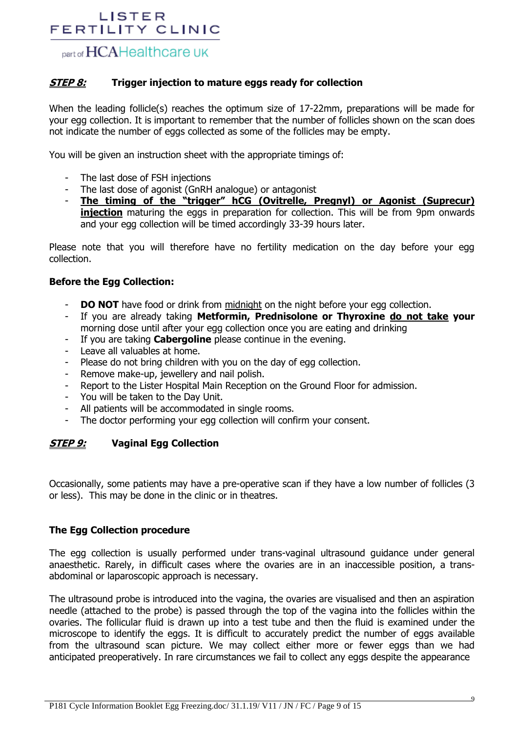# part of HCAHealthcare UK

## **STEP 8: Trigger injection to mature eggs ready for collection**

When the leading follicle(s) reaches the optimum size of 17-22mm, preparations will be made for your egg collection. It is important to remember that the number of follicles shown on the scan does not indicate the number of eggs collected as some of the follicles may be empty.

You will be given an instruction sheet with the appropriate timings of:

- The last dose of FSH injections
- The last dose of agonist (GnRH analogue) or antagonist
- **The timing of the "trigger" hCG (Ovitrelle, Pregnyl) or Agonist (Suprecur) injection** maturing the eggs in preparation for collection. This will be from 9pm onwards and your egg collection will be timed accordingly 33-39 hours later.

Please note that you will therefore have no fertility medication on the day before your egg collection.

### **Before the Egg Collection:**

- **DO NOT** have food or drink from midnight on the night before your egg collection.
- If you are already taking **Metformin, Prednisolone or Thyroxine do not take your**  morning dose until after your egg collection once you are eating and drinking
- If you are taking **Cabergoline** please continue in the evening.
- Leave all valuables at home.
- Please do not bring children with you on the day of egg collection.
- Remove make-up, jewellery and nail polish.
- Report to the Lister Hospital Main Reception on the Ground Floor for admission.
- You will be taken to the Day Unit.
- All patients will be accommodated in single rooms.
- The doctor performing your egg collection will confirm your consent.

## **STEP 9: Vaginal Egg Collection**

Occasionally, some patients may have a pre-operative scan if they have a low number of follicles (3 or less). This may be done in the clinic or in theatres.

## **The Egg Collection procedure**

The egg collection is usually performed under trans-vaginal ultrasound guidance under general anaesthetic. Rarely, in difficult cases where the ovaries are in an inaccessible position, a transabdominal or laparoscopic approach is necessary.

The ultrasound probe is introduced into the vagina, the ovaries are visualised and then an aspiration needle (attached to the probe) is passed through the top of the vagina into the follicles within the ovaries. The follicular fluid is drawn up into a test tube and then the fluid is examined under the microscope to identify the eggs. It is difficult to accurately predict the number of eggs available from the ultrasound scan picture. We may collect either more or fewer eggs than we had anticipated preoperatively. In rare circumstances we fail to collect any eggs despite the appearance

9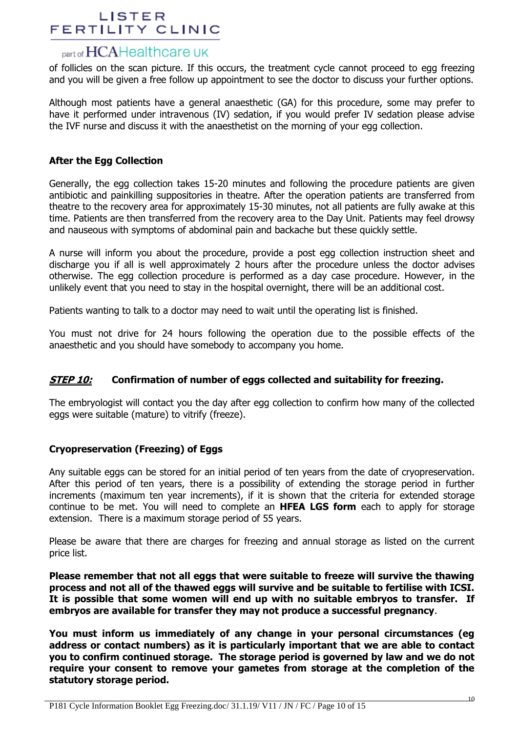# part of HCAHealthcare UK

of follicles on the scan picture. If this occurs, the treatment cycle cannot proceed to egg freezing and you will be given a free follow up appointment to see the doctor to discuss your further options.

Although most patients have a general anaesthetic (GA) for this procedure, some may prefer to have it performed under intravenous (IV) sedation, if you would prefer IV sedation please advise the IVF nurse and discuss it with the anaesthetist on the morning of your egg collection.

### **After the Egg Collection**

Generally, the egg collection takes 15-20 minutes and following the procedure patients are given antibiotic and painkilling suppositories in theatre. After the operation patients are transferred from theatre to the recovery area for approximately 15-30 minutes, not all patients are fully awake at this time. Patients are then transferred from the recovery area to the Day Unit. Patients may feel drowsy and nauseous with symptoms of abdominal pain and backache but these quickly settle.

A nurse will inform you about the procedure, provide a post egg collection instruction sheet and discharge you if all is well approximately 2 hours after the procedure unless the doctor advises otherwise. The egg collection procedure is performed as a day case procedure. However, in the unlikely event that you need to stay in the hospital overnight, there will be an additional cost.

Patients wanting to talk to a doctor may need to wait until the operating list is finished.

You must not drive for 24 hours following the operation due to the possible effects of the anaesthetic and you should have somebody to accompany you home.

## **STEP 10: Confirmation of number of eggs collected and suitability for freezing.**

The embryologist will contact you the day after egg collection to confirm how many of the collected eggs were suitable (mature) to vitrify (freeze).

## **Cryopreservation (Freezing) of Eggs**

Any suitable eggs can be stored for an initial period of ten years from the date of cryopreservation. After this period of ten years, there is a possibility of extending the storage period in further increments (maximum ten year increments), if it is shown that the criteria for extended storage continue to be met. You will need to complete an **HFEA LGS form** each to apply for storage extension. There is a maximum storage period of 55 years.

Please be aware that there are charges for freezing and annual storage as listed on the current price list.

**Please remember that not all eggs that were suitable to freeze will survive the thawing process and not all of the thawed eggs will survive and be suitable to fertilise with ICSI. It is possible that some women will end up with no suitable embryos to transfer. If embryos are available for transfer they may not produce a successful pregnancy**.

**You must inform us immediately of any change in your personal circumstances (eg address or contact numbers) as it is particularly important that we are able to contact you to confirm continued storage. The storage period is governed by law and we do not require your consent to remove your gametes from storage at the completion of the statutory storage period.**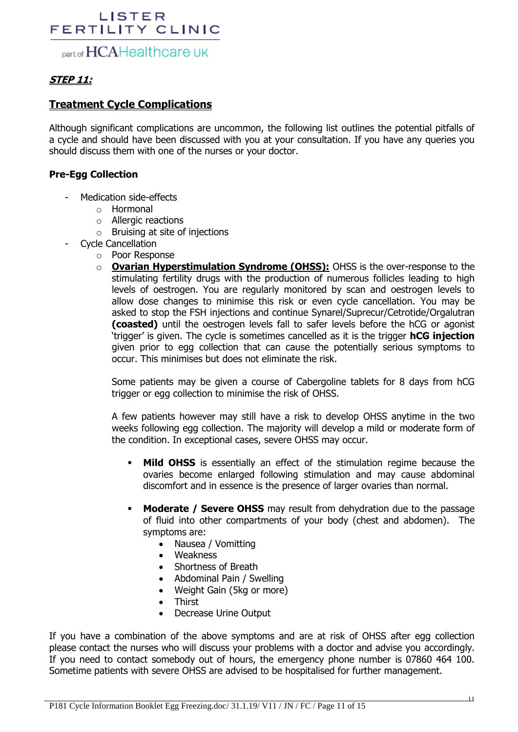part of HCAHealthcare UK

## **STEP 11:**

## **Treatment Cycle Complications**

Although significant complications are uncommon, the following list outlines the potential pitfalls of a cycle and should have been discussed with you at your consultation. If you have any queries you should discuss them with one of the nurses or your doctor.

## **Pre-Egg Collection**

- Medication side-effects
	- o Hormonal
	- o Allergic reactions
	- o Bruising at site of injections
- Cycle Cancellation
	- o Poor Response
	- o **Ovarian Hyperstimulation Syndrome (OHSS):** OHSS is the over-response to the stimulating fertility drugs with the production of numerous follicles leading to high levels of oestrogen. You are regularly monitored by scan and oestrogen levels to allow dose changes to minimise this risk or even cycle cancellation. You may be asked to stop the FSH injections and continue Synarel/Suprecur/Cetrotide/Orgalutran **(coasted)** until the oestrogen levels fall to safer levels before the hCG or agonist 'trigger' is given. The cycle is sometimes cancelled as it is the trigger **hCG injection** given prior to egg collection that can cause the potentially serious symptoms to occur. This minimises but does not eliminate the risk.

Some patients may be given a course of Cabergoline tablets for 8 days from hCG trigger or egg collection to minimise the risk of OHSS.

A few patients however may still have a risk to develop OHSS anytime in the two weeks following egg collection. The majority will develop a mild or moderate form of the condition. In exceptional cases, severe OHSS may occur.

- **Mild OHSS** is essentially an effect of the stimulation regime because the ovaries become enlarged following stimulation and may cause abdominal discomfort and in essence is the presence of larger ovaries than normal.
- **Moderate / Severe OHSS** may result from dehydration due to the passage of fluid into other compartments of your body (chest and abdomen). The symptoms are:
	- Nausea / Vomitting
	- Weakness
	- Shortness of Breath
	- Abdominal Pain / Swelling
	- Weight Gain (5kg or more)
	- Thirst
	- Decrease Urine Output

If you have a combination of the above symptoms and are at risk of OHSS after egg collection please contact the nurses who will discuss your problems with a doctor and advise you accordingly. If you need to contact somebody out of hours, the emergency phone number is 07860 464 100. Sometime patients with severe OHSS are advised to be hospitalised for further management.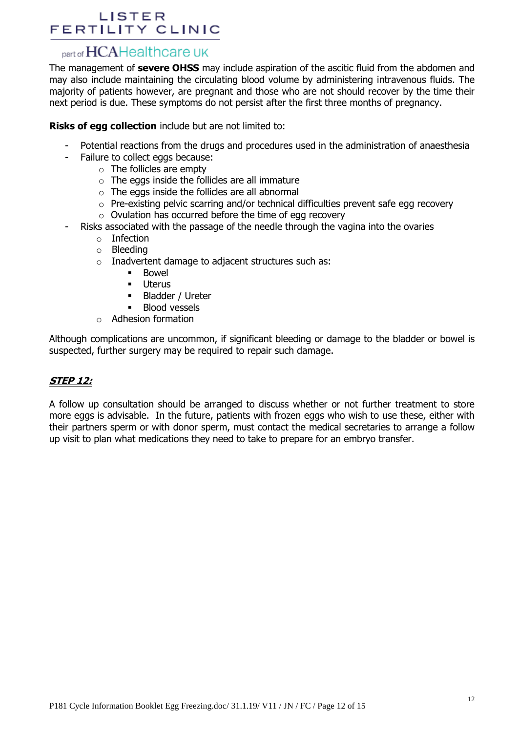# part of HCAHealthcare UK

The management of **severe OHSS** may include aspiration of the ascitic fluid from the abdomen and may also include maintaining the circulating blood volume by administering intravenous fluids. The majority of patients however, are pregnant and those who are not should recover by the time their next period is due. These symptoms do not persist after the first three months of pregnancy.

**Risks of egg collection** include but are not limited to:

- Potential reactions from the drugs and procedures used in the administration of anaesthesia
- Failure to collect eggs because:
	- $\circ$  The follicles are empty
	- $\circ$  The eggs inside the follicles are all immature
	- $\circ$  The eggs inside the follicles are all abnormal
	- o Pre-existing pelvic scarring and/or technical difficulties prevent safe egg recovery
	- o Ovulation has occurred before the time of egg recovery
- Risks associated with the passage of the needle through the vagina into the ovaries
	- o Infection
	- o Bleeding
	- o Inadvertent damage to adjacent structures such as:
		- **Bowel**
		- **u** Uterus
		- Bladder / Ureter
		- Blood vessels
	- o Adhesion formation

Although complications are uncommon, if significant bleeding or damage to the bladder or bowel is suspected, further surgery may be required to repair such damage.

## **STEP 12:**

A follow up consultation should be arranged to discuss whether or not further treatment to store more eggs is advisable. In the future, patients with frozen eggs who wish to use these, either with their partners sperm or with donor sperm, must contact the medical secretaries to arrange a follow up visit to plan what medications they need to take to prepare for an embryo transfer.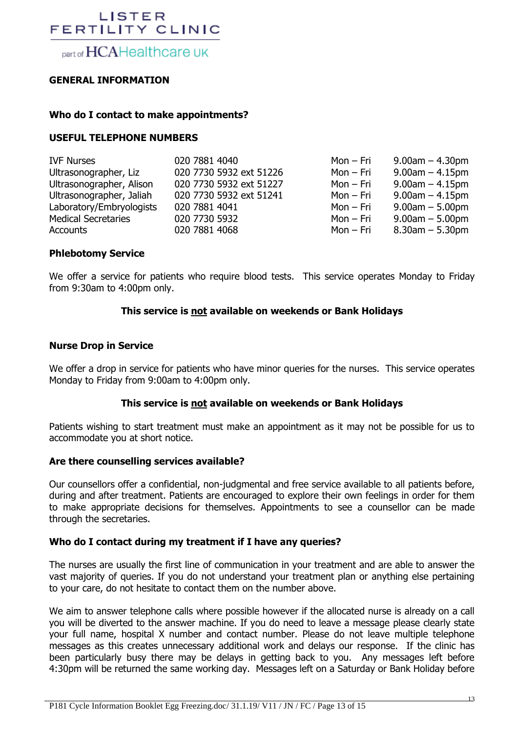# part of HCAHealthcare UK

## **GENERAL INFORMATION**

#### **Who do I contact to make appointments?**

#### **USEFUL TELEPHONE NUMBERS**

| <b>IVF Nurses</b>          | 020 7881 4040           | Mon $-$ Fri | $9.00$ am $-4.30$ pm  |
|----------------------------|-------------------------|-------------|-----------------------|
| Ultrasonographer, Liz      | 020 7730 5932 ext 51226 | Mon $-$ Fri | $9.00am - 4.15pm$     |
| Ultrasonographer, Alison   | 020 7730 5932 ext 51227 | Mon $-$ Fri | $9.00$ am $-4.15$ pm  |
| Ultrasonographer, Jaliah   | 020 7730 5932 ext 51241 | $Mon - Fri$ | $9.00$ am $-4.15$ pm  |
| Laboratory/Embryologists   | 020 7881 4041           | Mon $-$ Fri | $9.00$ am $-5.00$ pm  |
| <b>Medical Secretaries</b> | 020 7730 5932           | $Mon - Fri$ | $9.00$ am $-5.00$ pm  |
| Accounts                   | 020 7881 4068           | Mon $-$ Fri | $8.30$ am $- 5.30$ pm |

#### **Phlebotomy Service**

We offer a service for patients who require blood tests. This service operates Monday to Friday from 9:30am to 4:00pm only.

#### **This service is not available on weekends or Bank Holidays**

#### **Nurse Drop in Service**

We offer a drop in service for patients who have minor queries for the nurses. This service operates Monday to Friday from 9:00am to 4:00pm only.

#### **This service is not available on weekends or Bank Holidays**

Patients wishing to start treatment must make an appointment as it may not be possible for us to accommodate you at short notice.

#### **Are there counselling services available?**

Our counsellors offer a confidential, non-judgmental and free service available to all patients before, during and after treatment. Patients are encouraged to explore their own feelings in order for them to make appropriate decisions for themselves. Appointments to see a counsellor can be made through the secretaries.

#### **Who do I contact during my treatment if I have any queries?**

The nurses are usually the first line of communication in your treatment and are able to answer the vast majority of queries. If you do not understand your treatment plan or anything else pertaining to your care, do not hesitate to contact them on the number above.

We aim to answer telephone calls where possible however if the allocated nurse is already on a call you will be diverted to the answer machine. If you do need to leave a message please clearly state your full name, hospital X number and contact number. Please do not leave multiple telephone messages as this creates unnecessary additional work and delays our response. If the clinic has been particularly busy there may be delays in getting back to you. Any messages left before 4:30pm will be returned the same working day. Messages left on a Saturday or Bank Holiday before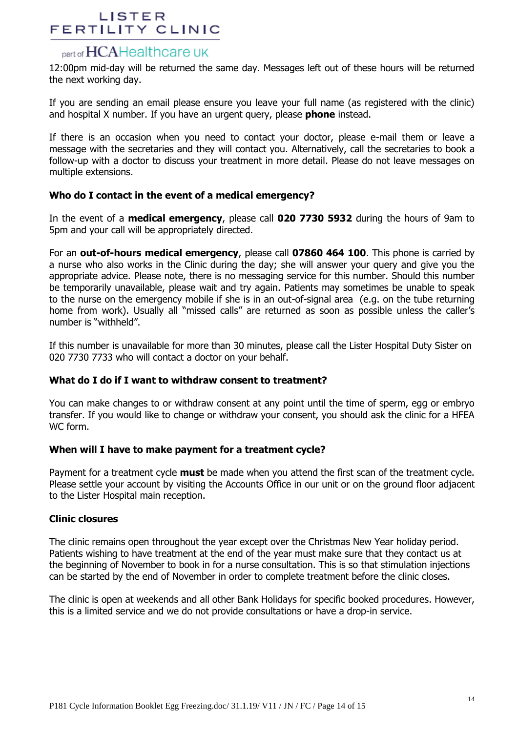# part of HCAHealthcare UK

12:00pm mid-day will be returned the same day. Messages left out of these hours will be returned the next working day.

If you are sending an email please ensure you leave your full name (as registered with the clinic) and hospital X number. If you have an urgent query, please **phone** instead.

If there is an occasion when you need to contact your doctor, please e-mail them or leave a message with the secretaries and they will contact you. Alternatively, call the secretaries to book a follow-up with a doctor to discuss your treatment in more detail. Please do not leave messages on multiple extensions.

## **Who do I contact in the event of a medical emergency?**

In the event of a **medical emergency**, please call **020 7730 5932** during the hours of 9am to 5pm and your call will be appropriately directed.

For an **out-of-hours medical emergency**, please call **07860 464 100**. This phone is carried by a nurse who also works in the Clinic during the day; she will answer your query and give you the appropriate advice. Please note, there is no messaging service for this number. Should this number be temporarily unavailable, please wait and try again. Patients may sometimes be unable to speak to the nurse on the emergency mobile if she is in an out-of-signal area (e.g. on the tube returning home from work). Usually all "missed calls" are returned as soon as possible unless the caller's number is "withheld".

If this number is unavailable for more than 30 minutes, please call the Lister Hospital Duty Sister on 020 7730 7733 who will contact a doctor on your behalf.

## **What do I do if I want to withdraw consent to treatment?**

You can make changes to or withdraw consent at any point until the time of sperm, egg or embryo transfer. If you would like to change or withdraw your consent, you should ask the clinic for a HFEA WC form.

## **When will I have to make payment for a treatment cycle?**

Payment for a treatment cycle **must** be made when you attend the first scan of the treatment cycle. Please settle your account by visiting the Accounts Office in our unit or on the ground floor adjacent to the Lister Hospital main reception.

## **Clinic closures**

The clinic remains open throughout the year except over the Christmas New Year holiday period. Patients wishing to have treatment at the end of the year must make sure that they contact us at the beginning of November to book in for a nurse consultation. This is so that stimulation injections can be started by the end of November in order to complete treatment before the clinic closes.

The clinic is open at weekends and all other Bank Holidays for specific booked procedures. However, this is a limited service and we do not provide consultations or have a drop-in service.